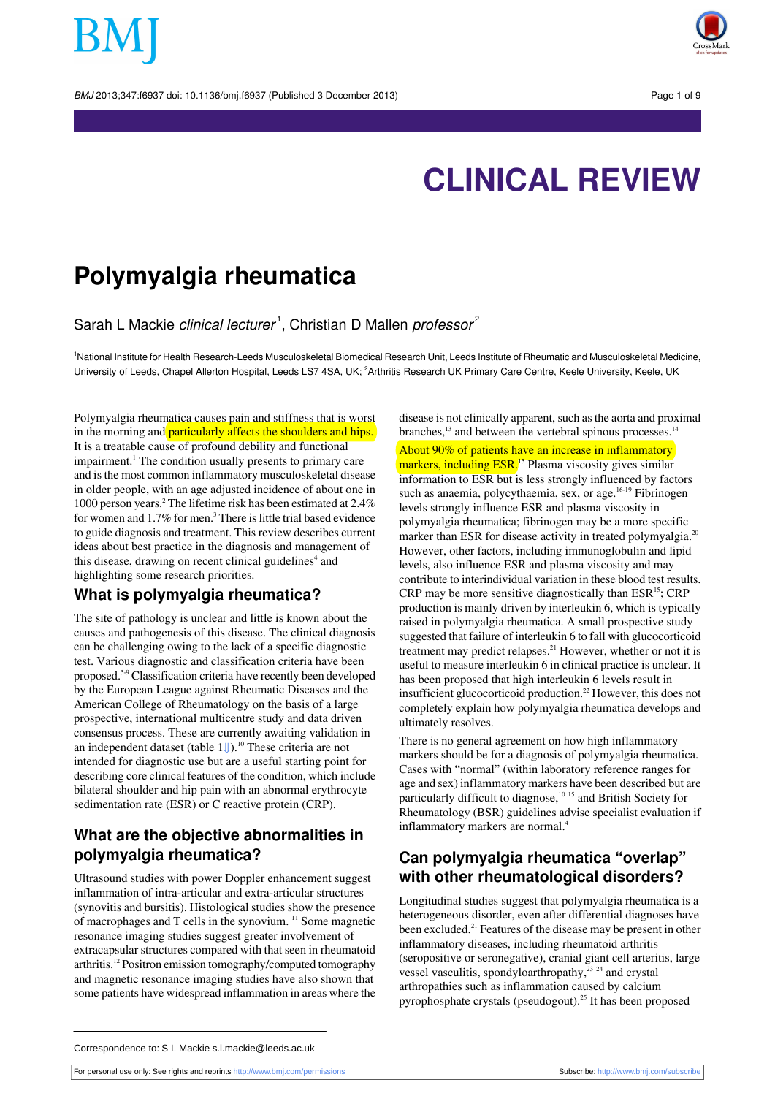BMJ 2013:347:f6937 doi: 10.1136/bmi.f6937 (Published 3 December 2013) Page 1 of 9



# **CLINICAL REVIEW**

## **Polymyalgia rheumatica**

Sarah L Mackie *clinical lecturer*<sup>1</sup>, Christian D Mallen *professor<sup>2</sup>* 

<sup>1</sup>National Institute for Health Research-Leeds Musculoskeletal Biomedical Research Unit, Leeds Institute of Rheumatic and Musculoskeletal Medicine, University of Leeds, Chapel Allerton Hospital, Leeds LS7 4SA, UK; <sup>2</sup>Arthritis Research UK Primary Care Centre, Keele University, Keele, UK

Polymyalgia rheumatica causes pain and stiffness that is worst in the morning and **particularly affects the shoulders and hips.** It is a treatable cause of profound debility and functional impairment.<sup>1</sup> The condition usually presents to primary care and is the most common inflammatory musculoskeletal disease in older people, with an age adjusted incidence of about one in 1000 person years.<sup>2</sup> The lifetime risk has been estimated at 2.4% for women and 1.7% for men.<sup>3</sup> There is little trial based evidence to guide diagnosis and treatment. This review describes current ideas about best practice in the diagnosis and management of this disease, drawing on recent clinical guidelines<sup>4</sup> and highlighting some research priorities.

#### **What is polymyalgia rheumatica?**

The site of pathology is unclear and little is known about the causes and pathogenesis of this disease. The clinical diagnosis can be challenging owing to the lack of a specific diagnostic test. Various diagnostic and classification criteria have been proposed.5-9 Classification criteria have recently been developed by the European League against Rheumatic Diseases and the American College of Rheumatology on the basis of a large prospective, international multicentre study and data driven consensus process. These are currently awaiting validation in an independent dataset (table 1[⇓\)](#page-6-0).<sup>10</sup> These criteria are not intended for diagnostic use but are a useful starting point for describing core clinical features of the condition, which include bilateral shoulder and hip pain with an abnormal erythrocyte sedimentation rate (ESR) or C reactive protein (CRP).

### **What are the objective abnormalities in polymyalgia rheumatica?**

Ultrasound studies with power Doppler enhancement suggest inflammation of intra-articular and extra-articular structures (synovitis and bursitis). Histological studies show the presence of macrophages and T cells in the synovium. <sup>11</sup> Some magnetic resonance imaging studies suggest greater involvement of extracapsular structures compared with that seen in rheumatoid arthritis.<sup>12</sup> Positron emission tomography/computed tomography and magnetic resonance imaging studies have also shown that some patients have widespread inflammation in areas where the

disease is not clinically apparent, such as the aorta and proximal branches, $^{13}$  and between the vertebral spinous processes.<sup>14</sup>

About 90% of patients have an increase in inflammatory markers, including ESR.<sup>15</sup> Plasma viscosity gives similar information to ESR but is less strongly influenced by factors such as anaemia, polycythaemia, sex, or age.<sup>16-19</sup> Fibrinogen levels strongly influence ESR and plasma viscosity in polymyalgia rheumatica; fibrinogen may be a more specific marker than ESR for disease activity in treated polymyalgia.<sup>20</sup> However, other factors, including immunoglobulin and lipid levels, also influence ESR and plasma viscosity and may contribute to interindividual variation in these blood test results. CRP may be more sensitive diagnostically than  $ESR<sup>15</sup>$ ; CRP production is mainly driven by interleukin 6, which is typically raised in polymyalgia rheumatica. A small prospective study suggested that failure of interleukin 6 to fall with glucocorticoid treatment may predict relapses.<sup>21</sup> However, whether or not it is useful to measure interleukin 6 in clinical practice is unclear. It has been proposed that high interleukin 6 levels result in insufficient glucocorticoid production.<sup>22</sup> However, this does not completely explain how polymyalgia rheumatica develops and ultimately resolves.

There is no general agreement on how high inflammatory markers should be for a diagnosis of polymyalgia rheumatica. Cases with "normal" (within laboratory reference ranges for age and sex) inflammatory markers have been described but are particularly difficult to diagnose,<sup>10 15</sup> and British Society for Rheumatology (BSR) guidelines advise specialist evaluation if inflammatory markers are normal.<sup>4</sup>

### **Can polymyalgia rheumatica "overlap" with other rheumatological disorders?**

Longitudinal studies suggest that polymyalgia rheumatica is a heterogeneous disorder, even after differential diagnoses have been excluded.<sup>21</sup> Features of the disease may be present in other inflammatory diseases, including rheumatoid arthritis (seropositive or seronegative), cranial giant cell arteritis, large vessel vasculitis, spondyloarthropathy,<sup>23 24</sup> and crystal arthropathies such as inflammation caused by calcium pyrophosphate crystals (pseudogout).<sup>25</sup> It has been proposed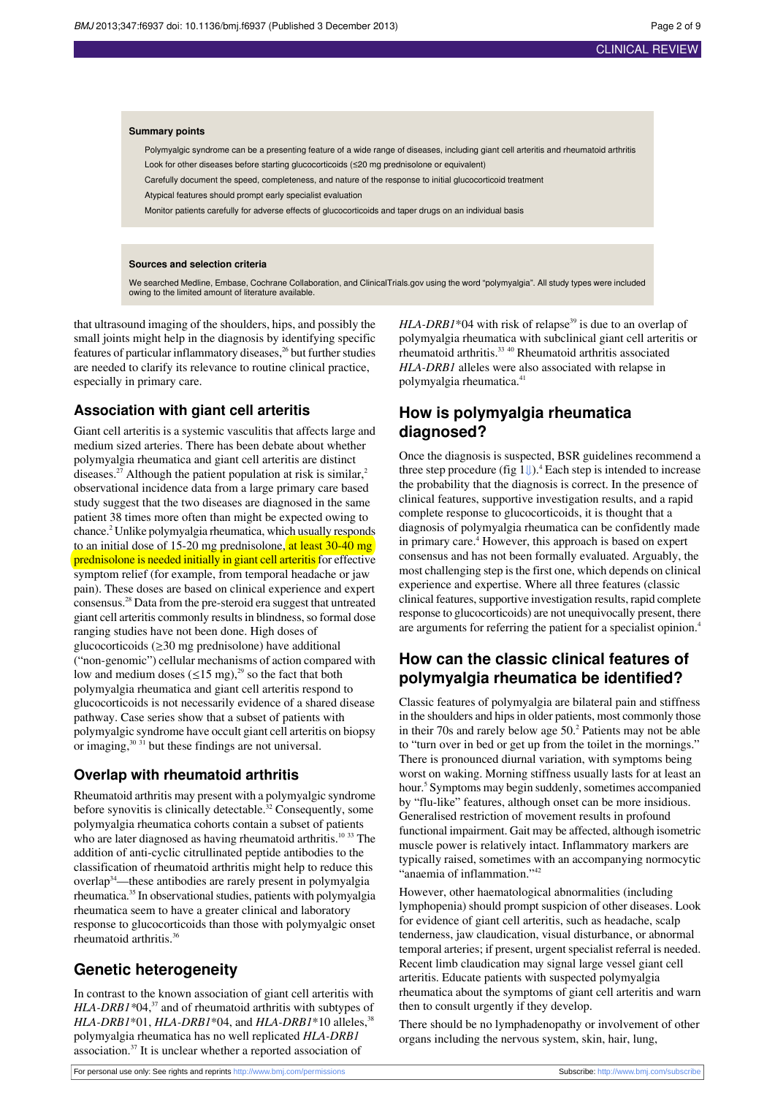#### **Summary points**

Polymyalgic syndrome can be a presenting feature of a wide range of diseases, including giant cell arteritis and rheumatoid arthritis Look for other diseases before starting glucocorticoids (≤20 mg prednisolone or equivalent)

Carefully document the speed, completeness, and nature of the response to initial glucocorticoid treatment Atypical features should prompt early specialist evaluation

Monitor patients carefully for adverse effects of glucocorticoids and taper drugs on an individual basis

#### **Sources and selection criteria**

We searched Medline, Embase, Cochrane Collaboration, and ClinicalTrials.gov using the word "polymyalgia". All study types were included owing to the limited amount of literature available.

that ultrasound imaging of the shoulders, hips, and possibly the small joints might help in the diagnosis by identifying specific features of particular inflammatory diseases,<sup>26</sup> but further studies are needed to clarify its relevance to routine clinical practice, especially in primary care.

#### **Association with giant cell arteritis**

Giant cell arteritis is a systemic vasculitis that affects large and medium sized arteries. There has been debate about whether polymyalgia rheumatica and giant cell arteritis are distinct diseases.<sup>27</sup> Although the patient population at risk is similar,<sup>2</sup> observational incidence data from a large primary care based study suggest that the two diseases are diagnosed in the same patient 38 times more often than might be expected owing to chance.<sup>2</sup> Unlike polymyalgia rheumatica, which usually responds to an initial dose of 15-20 mg prednisolone, at least 30-40 mg prednisolone is needed initially in giant cell arteritis for effective symptom relief (for example, from temporal headache or jaw pain). These doses are based on clinical experience and expert consensus.<sup>28</sup> Data from the pre-steroid era suggest that untreated giant cell arteritis commonly results in blindness, so formal dose ranging studies have not been done. High doses of glucocorticoids (≥30 mg prednisolone) have additional ("non-genomic") cellular mechanisms of action compared with low and medium doses  $(\leq 15 \text{ mg})$ ,<sup>29</sup> so the fact that both polymyalgia rheumatica and giant cell arteritis respond to glucocorticoids is not necessarily evidence of a shared disease pathway. Case series show that a subset of patients with polymyalgic syndrome have occult giant cell arteritis on biopsy or imaging,<sup>30</sup> <sup>31</sup> but these findings are not universal.

#### **Overlap with rheumatoid arthritis**

Rheumatoid arthritis may present with a polymyalgic syndrome before synovitis is clinically detectable.<sup>32</sup> Consequently, some polymyalgia rheumatica cohorts contain a subset of patients who are later diagnosed as having rheumatoid arthritis.<sup>10 33</sup> The addition of anti-cyclic citrullinated peptide antibodies to the classification of rheumatoid arthritis might help to reduce this overlap<sup>34</sup>—these antibodies are rarely present in polymyalgia rheumatica.<sup>35</sup> In observational studies, patients with polymyalgia rheumatica seem to have a greater clinical and laboratory response to glucocorticoids than those with polymyalgic onset rheumatoid arthritis.<sup>36</sup>

#### **Genetic heterogeneity**

In contrast to the known association of giant cell arteritis with *HLA-DRB1*\*04,<sup>37</sup> and of rheumatoid arthritis with subtypes of *HLA-DRB1*\*01, *HLA-DRB1*\*04, and *HLA-DRB1*\*10 alleles,<sup>38</sup> polymyalgia rheumatica has no well replicated *HLA-DRB1* association.<sup>37</sup> It is unclear whether a reported association of

*HLA-DRB1*\*04 with risk of relapse<sup>39</sup> is due to an overlap of polymyalgia rheumatica with subclinical giant cell arteritis or rheumatoid arthritis.<sup>33</sup> <sup>40</sup> Rheumatoid arthritis associated *HLA-DRB1* alleles were also associated with relapse in polymyalgia rheumatica.<sup>41</sup>

#### **How is polymyalgia rheumatica diagnosed?**

Once the diagnosis is suspected, BSR guidelines recommend a three step procedure (fig  $1 \downarrow$ ).<sup>4</sup> Each step is intended to increase the probability that the diagnosis is correct. In the presence of clinical features, supportive investigation results, and a rapid complete response to glucocorticoids, it is thought that a diagnosis of polymyalgia rheumatica can be confidently made in primary care.<sup>4</sup> However, this approach is based on expert consensus and has not been formally evaluated. Arguably, the most challenging step is the first one, which depends on clinical experience and expertise. Where all three features (classic clinical features, supportive investigation results, rapid complete response to glucocorticoids) are not unequivocally present, there are arguments for referring the patient for a specialist opinion.<sup>4</sup>

#### **How can the classic clinical features of polymyalgia rheumatica be identified?**

Classic features of polymyalgia are bilateral pain and stiffness in the shoulders and hips in older patients, most commonly those in their 70s and rarely below age 50.<sup>2</sup> Patients may not be able to "turn over in bed or get up from the toilet in the mornings." There is pronounced diurnal variation, with symptoms being worst on waking. Morning stiffness usually lasts for at least an hour.<sup>5</sup> Symptoms may begin suddenly, sometimes accompanied by "flu-like" features, although onset can be more insidious. Generalised restriction of movement results in profound functional impairment. Gait may be affected, although isometric muscle power is relatively intact. Inflammatory markers are typically raised, sometimes with an accompanying normocytic "anaemia of inflammation."<sup>42</sup>

However, other haematological abnormalities (including lymphopenia) should prompt suspicion of other diseases. Look for evidence of giant cell arteritis, such as headache, scalp tenderness, jaw claudication, visual disturbance, or abnormal temporal arteries; if present, urgent specialist referral is needed. Recent limb claudication may signal large vessel giant cell arteritis. Educate patients with suspected polymyalgia rheumatica about the symptoms of giant cell arteritis and warn then to consult urgently if they develop.

There should be no lymphadenopathy or involvement of other organs including the nervous system, skin, hair, lung,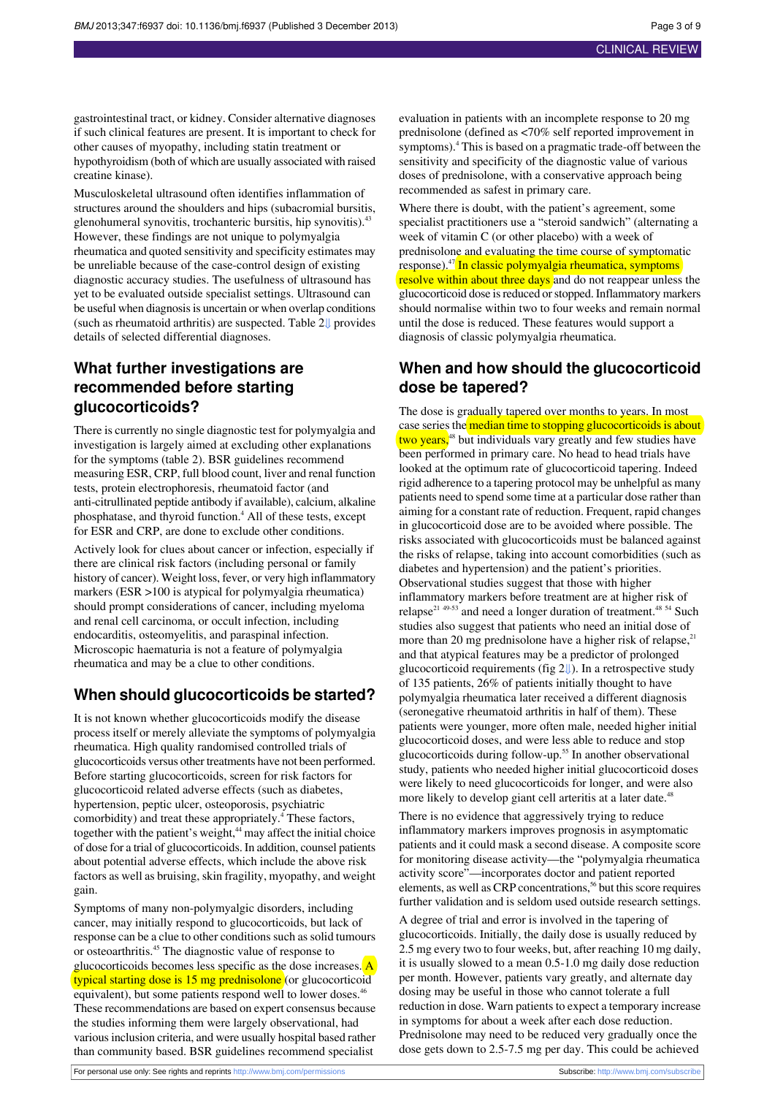Musculoskeletal ultrasound often identifies inflammation of structures around the shoulders and hips (subacromial bursitis, glenohumeral synovitis, trochanteric bursitis, hip synovitis).<sup>43</sup> However, these findings are not unique to polymyalgia rheumatica and quoted sensitivity and specificity estimates may be unreliable because of the case-control design of existing diagnostic accuracy studies. The usefulness of ultrasound has yet to be evaluated outside specialist settings. Ultrasound can be useful when diagnosis is uncertain or when overlap conditions (such as rheumatoid arthritis) are suspected. Table [2⇓](#page-7-0) provides details of selected differential diagnoses.

### **What further investigations are recommended before starting glucocorticoids?**

There is currently no single diagnostic test for polymyalgia and investigation is largely aimed at excluding other explanations for the symptoms (table 2). BSR guidelines recommend measuring ESR, CRP, full blood count, liver and renal function tests, protein electrophoresis, rheumatoid factor (and anti-citrullinated peptide antibody if available), calcium, alkaline phosphatase, and thyroid function.<sup>4</sup> All of these tests, except for ESR and CRP, are done to exclude other conditions.

Actively look for clues about cancer or infection, especially if there are clinical risk factors (including personal or family history of cancer). Weight loss, fever, or very high inflammatory markers (ESR >100 is atypical for polymyalgia rheumatica) should prompt considerations of cancer, including myeloma and renal cell carcinoma, or occult infection, including endocarditis, osteomyelitis, and paraspinal infection. Microscopic haematuria is not a feature of polymyalgia rheumatica and may be a clue to other conditions.

### **When should glucocorticoids be started?**

It is not known whether glucocorticoids modify the disease process itself or merely alleviate the symptoms of polymyalgia rheumatica. High quality randomised controlled trials of glucocorticoids versus other treatments have not been performed. Before starting glucocorticoids, screen for risk factors for glucocorticoid related adverse effects (such as diabetes, hypertension, peptic ulcer, osteoporosis, psychiatric comorbidity) and treat these appropriately.<sup>4</sup> These factors, together with the patient's weight,<sup>44</sup> may affect the initial choice of dose for a trial of glucocorticoids. In addition, counsel patients about potential adverse effects, which include the above risk factors as well as bruising, skin fragility, myopathy, and weight gain.

Symptoms of many non-polymyalgic disorders, including cancer, may initially respond to glucocorticoids, but lack of response can be a clue to other conditions such as solid tumours or osteoarthritis.<sup>45</sup> The diagnostic value of response to glucocorticoids becomes less specific as the dose increases. A typical starting dose is 15 mg prednisolone (or glucocorticoid equivalent), but some patients respond well to lower doses.<sup>46</sup> These recommendations are based on expert consensus because the studies informing them were largely observational, had various inclusion criteria, and were usually hospital based rather than community based. BSR guidelines recommend specialist

evaluation in patients with an incomplete response to 20 mg prednisolone (defined as <70% self reported improvement in symptoms).<sup>4</sup> This is based on a pragmatic trade-off between the sensitivity and specificity of the diagnostic value of various doses of prednisolone, with a conservative approach being recommended as safest in primary care.

Where there is doubt, with the patient's agreement, some specialist practitioners use a "steroid sandwich" (alternating a week of vitamin C (or other placebo) with a week of prednisolone and evaluating the time course of symptomatic response).<sup>47</sup> In classic polymyalgia rheumatica, symptoms resolve within about three days and do not reappear unless the glucocorticoid dose is reduced or stopped. Inflammatory markers should normalise within two to four weeks and remain normal until the dose is reduced. These features would support a diagnosis of classic polymyalgia rheumatica.

### **When and how should the glucocorticoid dose be tapered?**

The dose is gradually tapered over months to years. In most case series the median time to stopping glucocorticoids is about two years,<sup>48</sup> but individuals vary greatly and few studies have been performed in primary care. No head to head trials have looked at the optimum rate of glucocorticoid tapering. Indeed rigid adherence to a tapering protocol may be unhelpful as many patients need to spend some time at a particular dose rather than aiming for a constant rate of reduction. Frequent, rapid changes in glucocorticoid dose are to be avoided where possible. The risks associated with glucocorticoids must be balanced against the risks of relapse, taking into account comorbidities (such as diabetes and hypertension) and the patient's priorities. Observational studies suggest that those with higher inflammatory markers before treatment are at higher risk of relapse<sup>21</sup>  $49-53$  and need a longer duration of treatment.<sup>48</sup>  $54$  Such studies also suggest that patients who need an initial dose of more than 20 mg prednisolone have a higher risk of relapse,<sup>21</sup> and that atypical features may be a predictor of prolonged glucocorticoid requirements (fig 2[⇓](#page-8-1)). In a retrospective study of 135 patients, 26% of patients initially thought to have polymyalgia rheumatica later received a different diagnosis (seronegative rheumatoid arthritis in half of them). These patients were younger, more often male, needed higher initial glucocorticoid doses, and were less able to reduce and stop glucocorticoids during follow-up.<sup>55</sup> In another observational study, patients who needed higher initial glucocorticoid doses were likely to need glucocorticoids for longer, and were also more likely to develop giant cell arteritis at a later date.<sup>48</sup>

There is no evidence that aggressively trying to reduce inflammatory markers improves prognosis in asymptomatic patients and it could mask a second disease. A composite score for monitoring disease activity—the "polymyalgia rheumatica activity score"—incorporates doctor and patient reported elements, as well as CRP concentrations,<sup>56</sup> but this score requires further validation and is seldom used outside research settings.

A degree of trial and error is involved in the tapering of glucocorticoids. Initially, the daily dose is usually reduced by 2.5 mg every two to four weeks, but, after reaching 10 mg daily, it is usually slowed to a mean 0.5-1.0 mg daily dose reduction per month. However, patients vary greatly, and alternate day dosing may be useful in those who cannot tolerate a full reduction in dose. Warn patients to expect a temporary increase in symptoms for about a week after each dose reduction. Prednisolone may need to be reduced very gradually once the dose gets down to 2.5-7.5 mg per day. This could be achieved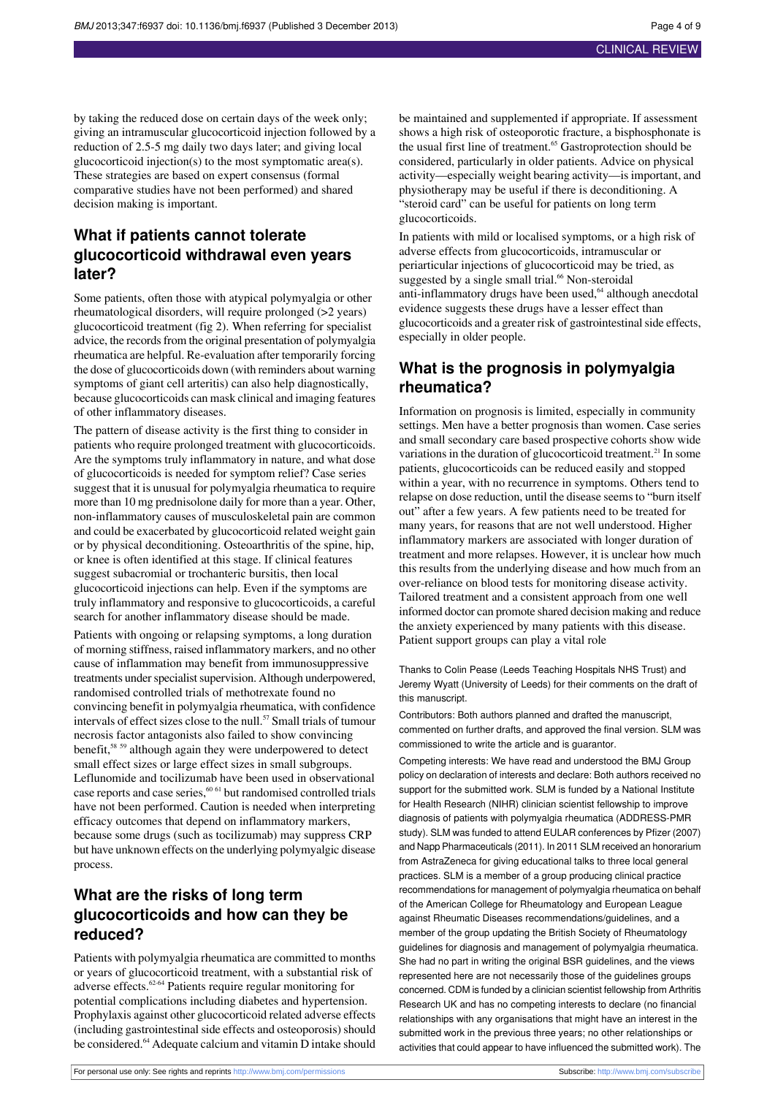by taking the reduced dose on certain days of the week only; giving an intramuscular glucocorticoid injection followed by a reduction of 2.5-5 mg daily two days later; and giving local glucocorticoid injection(s) to the most symptomatic area(s). These strategies are based on expert consensus (formal comparative studies have not been performed) and shared decision making is important.

### **What if patients cannot tolerate glucocorticoid withdrawal even years later?**

Some patients, often those with atypical polymyalgia or other rheumatological disorders, will require prolonged (>2 years) glucocorticoid treatment (fig 2). When referring for specialist advice, the records from the original presentation of polymyalgia rheumatica are helpful. Re-evaluation after temporarily forcing the dose of glucocorticoids down (with reminders about warning symptoms of giant cell arteritis) can also help diagnostically, because glucocorticoids can mask clinical and imaging features of other inflammatory diseases.

The pattern of disease activity is the first thing to consider in patients who require prolonged treatment with glucocorticoids. Are the symptoms truly inflammatory in nature, and what dose of glucocorticoids is needed for symptom relief? Case series suggest that it is unusual for polymyalgia rheumatica to require more than 10 mg prednisolone daily for more than a year. Other, non-inflammatory causes of musculoskeletal pain are common and could be exacerbated by glucocorticoid related weight gain or by physical deconditioning. Osteoarthritis of the spine, hip, or knee is often identified at this stage. If clinical features suggest subacromial or trochanteric bursitis, then local glucocorticoid injections can help. Even if the symptoms are truly inflammatory and responsive to glucocorticoids, a careful search for another inflammatory disease should be made.

Patients with ongoing or relapsing symptoms, a long duration of morning stiffness, raised inflammatory markers, and no other cause of inflammation may benefit from immunosuppressive treatments under specialist supervision. Although underpowered, randomised controlled trials of methotrexate found no convincing benefit in polymyalgia rheumatica, with confidence intervals of effect sizes close to the null.<sup>57</sup> Small trials of tumour necrosis factor antagonists also failed to show convincing benefit,<sup>58</sup> <sup>59</sup> although again they were underpowered to detect small effect sizes or large effect sizes in small subgroups. Leflunomide and tocilizumab have been used in observational case reports and case series, $60\,61}$  but randomised controlled trials have not been performed. Caution is needed when interpreting efficacy outcomes that depend on inflammatory markers, because some drugs (such as tocilizumab) may suppress CRP but have unknown effects on the underlying polymyalgic disease process.

### **What are the risks of long term glucocorticoids and how can they be reduced?**

Patients with polymyalgia rheumatica are committed to months or years of glucocorticoid treatment, with a substantial risk of adverse effects.62-64 Patients require regular monitoring for potential complications including diabetes and hypertension. Prophylaxis against other glucocorticoid related adverse effects (including gastrointestinal side effects and osteoporosis) should be considered.<sup>64</sup> Adequate calcium and vitamin D intake should

be maintained and supplemented if appropriate. If assessment shows a high risk of osteoporotic fracture, a bisphosphonate is the usual first line of treatment.<sup>65</sup> Gastroprotection should be considered, particularly in older patients. Advice on physical activity—especially weight bearing activity—isimportant, and physiotherapy may be useful if there is deconditioning. A "steroid card" can be useful for patients on long term glucocorticoids.

In patients with mild or localised symptoms, or a high risk of adverse effects from glucocorticoids, intramuscular or periarticular injections of glucocorticoid may be tried, as suggested by a single small trial.<sup>66</sup> Non-steroidal anti-inflammatory drugs have been used, $64$  although anecdotal evidence suggests these drugs have a lesser effect than glucocorticoids and a greater risk of gastrointestinal side effects, especially in older people.

### **What is the prognosis in polymyalgia rheumatica?**

Information on prognosis is limited, especially in community settings. Men have a better prognosis than women. Case series and small secondary care based prospective cohorts show wide variations in the duration of glucocorticoid treatment.<sup>21</sup> In some patients, glucocorticoids can be reduced easily and stopped within a year, with no recurrence in symptoms. Others tend to relapse on dose reduction, until the disease seems to "burn itself out" after a few years. A few patients need to be treated for many years, for reasons that are not well understood. Higher inflammatory markers are associated with longer duration of treatment and more relapses. However, it is unclear how much this results from the underlying disease and how much from an over-reliance on blood tests for monitoring disease activity. Tailored treatment and a consistent approach from one well informed doctor can promote shared decision making and reduce the anxiety experienced by many patients with this disease. Patient support groups can play a vital role

Thanks to Colin Pease (Leeds Teaching Hospitals NHS Trust) and Jeremy Wyatt (University of Leeds) for their comments on the draft of this manuscript.

Contributors: Both authors planned and drafted the manuscript, commented on further drafts, and approved the final version. SLM was commissioned to write the article and is guarantor.

Competing interests: We have read and understood the BMJ Group policy on declaration of interests and declare: Both authors received no support for the submitted work. SLM is funded by a National Institute for Health Research (NIHR) clinician scientist fellowship to improve diagnosis of patients with polymyalgia rheumatica (ADDRESS-PMR study). SLM was funded to attend EULAR conferences by Pfizer (2007) and Napp Pharmaceuticals (2011). In 2011 SLM received an honorarium from AstraZeneca for giving educational talks to three local general practices. SLM is a member of a group producing clinical practice recommendations for management of polymyalgia rheumatica on behalf of the American College for Rheumatology and European League against Rheumatic Diseases recommendations/guidelines, and a member of the group updating the British Society of Rheumatology guidelines for diagnosis and management of polymyalgia rheumatica. She had no part in writing the original BSR guidelines, and the views represented here are not necessarily those of the guidelines groups concerned. CDM is funded by a clinician scientist fellowship from Arthritis Research UK and has no competing interests to declare (no financial relationships with any organisations that might have an interest in the submitted work in the previous three years; no other relationships or activities that could appear to have influenced the submitted work). The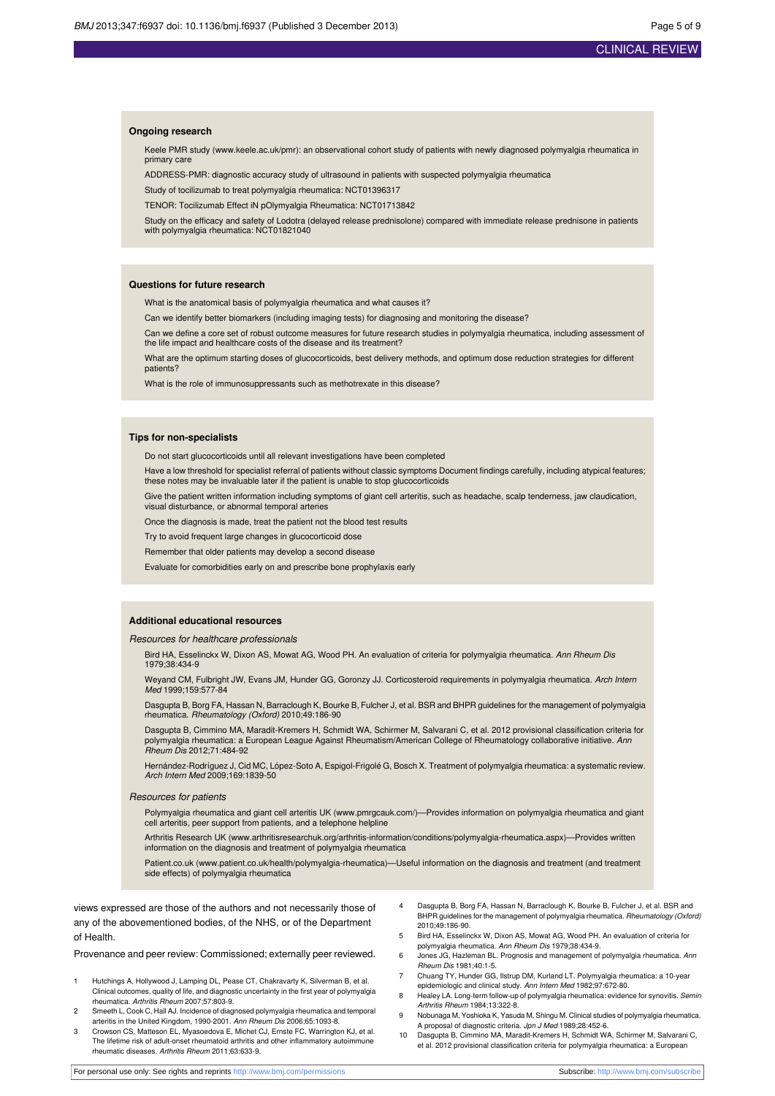#### CLINICAL REVIEW

#### **Ongoing research**

Keele PMR study ([www.keele.ac.uk/pmr](http://www.keele.ac.uk/pmr)): an observational cohort study of patients with newly diagnosed polymyalgia rheumatica in primary care

ADDRESS-PMR: diagnostic accuracy study of ultrasound in patients with suspected polymyalgia rheumatica

Study of tocilizumab to treat polymyalgia rheumatica: NCT01396317

TENOR: Tocilizumab Effect iN pOlymyalgia Rheumatica: NCT01713842

Study on the efficacy and safety of Lodotra (delayed release prednisolone) compared with immediate release prednisone in patients with polymyalgia rheumatica: NCT01821040

#### **Questions for future research**

What is the anatomical basis of polymyalgia rheumatica and what causes it?

Can we identify better biomarkers (including imaging tests) for diagnosing and monitoring the disease?

Can we define a core set of robust outcome measures for future research studies in polymyalgia rheumatica, including assessment of the life impact and healthcare costs of the disease and its treatment?

What are the optimum starting doses of glucocorticoids, best delivery methods, and optimum dose reduction strategies for different patients?

What is the role of immunosuppressants such as methotrexate in this disease?

#### **Tips for non-specialists**

Do not start glucocorticoids until all relevant investigations have been completed

Have a low threshold for specialist referral of patients without classic symptoms Document findings carefully, including atypical features; these notes may be invaluable later if the patient is unable to stop glucocorticoids

Give the patient written information including symptoms of giant cell arteritis, such as headache, scalp tenderness, jaw claudication, visual disturbance, or abnormal temporal arteries

Once the diagnosis is made, treat the patient not the blood test results

Try to avoid frequent large changes in glucocorticoid dose

Remember that older patients may develop a second disease

Evaluate for comorbidities early on and prescribe bone prophylaxis early

#### **Additional educational resources**

Resources for healthcare professionals

Bird HA, Esselinckx W, Dixon AS, Mowat AG, Wood PH. An evaluation of criteria for polymyalgia rheumatica. Ann Rheum Dis 1979;38:434-9

Weyand CM, Fulbright JW, Evans JM, Hunder GG, Goronzy JJ. Corticosteroid requirements in polymyalgia rheumatica. Arch Intern Med 1999;159:577-84

Dasgupta B, Borg FA, Hassan N, Barraclough K, Bourke B, Fulcher J, et al. BSR and BHPR guidelines for the management of polymyalgia rheumatica. Rheumatology (Oxford) 2010;49:186-90

Dasgupta B, Cimmino MA, Maradit-Kremers H, Schmidt WA, Schirmer M, Salvarani C, et al. 2012 provisional classification criteria for polymyalgia rheumatica: a European League Against Rheumatism/American College of Rheumatology collaborative initiative. *Ann*<br>*Rheum Dis* 2012;71:484-92

Hernández-Rodríguez J, Cid MC, López-Soto A, Espigol-Frigolé G, Bosch X. Treatment of polymyalgia rheumatica: a systematic review. Arch Intern Med 2009;169:1839-50

#### Resources for patients

Polymyalgia rheumatica and giant cell arteritis UK [\(www.pmrgcauk.com/\)](http://www.pmrgcauk.com/)—Provides information on polymyalgia rheumatica and giant cell arteritis, peer support from patients, and a telephone helpline

Arthritis Research UK ([www.arthritisresearchuk.org/arthritis-information/conditions/polymyalgia-rheumatica.aspx](http://www.arthritisresearchuk.org/arthritis-information/conditions/polymyalgia-rheumatica.aspx))—Provides written information on the diagnosis and treatment of polymyalgia rheumatica

Patient.co.uk ([www.patient.co.uk/health/polymyalgia-rheumatica\)](http://www.patient.co.uk/health/polymyalgia-rheumatica)—Useful information on the diagnosis and treatment (and treatment side effects) of polymyalgia rheumatica

views expressed are those of the authors and not necessarily those of any of the abovementioned bodies, of the NHS, or of the Department of Health.

Provenance and peer review: Commissioned; externally peer reviewed.

- 1 Hutchings A, Hollywood J, Lamping DL, Pease CT, Chakravarty K, Silverman B, et al. Clinical outcomes, quality of life, and diagnostic uncertainty in the first year of polymyalgia rheumatica. Arthritis Rheum 2007;57:803-9.
- 2 Smeeth L, Cook C, Hall AJ. Incidence of diagnosed polymyalgia rheumatica and temporal arteritis in the United Kingdom, 1990-2001. Ann Rheum Dis 2006;65:1093-8.
- 3 Crowson CS, Matteson EL, Myasoedova E, Michet CJ, Ernste FC, Warrington KJ, et al. The lifetime risk of adult-onset rheumatoid arthritis and other inflammatory autoimmune rheumatic diseases. Arthritis Rheum 2011;63:633-9.
- Dasgupta B, Borg FA, Hassan N, Barraclough K, Bourke B, Fulcher J, et al. BSR and BHPR guidelines for the management of polymyalgia rheumatica. Rheumatology (Oxford) 2010;49:186-90.
- 5 Bird HA, Esselinckx W, Dixon AS, Mowat AG, Wood PH. An evaluation of criteria for polymyalgia rheumatica. Ann Rheum Dis 1979;38:434-9.
- 6 Jones JG, Hazleman BL. Prognosis and management of polymyalgia rheumatica. Ann Rheum Dis 1981;40:1-5.
- 7 Chuang TY, Hunder GG, Ilstrup DM, Kurland LT. Polymyalgia rheumatica: a 10-year epidemiologic and clinical study. Ann Intern Med 1982;97:672-80.
- 8 Healey LA. Long-term follow-up of polymyalgia rheumatica: evidence for synovitis. Semin Arthritis Rheum 1984;13:322-8.
- 9 Nobunaga M, Yoshioka K, Yasuda M, Shingu M. Clinical studies of polymyalgia rheumatica. A proposal of diagnostic criteria. Jpn J Med 1989;28:452-6.
- 10 Dasgupta B, Cimmino MA, Maradit-Kremers H, Schmidt WA, Schirmer M, Salvarani C, et al. 2012 provisional classification criteria for polymyalgia rheumatica: a European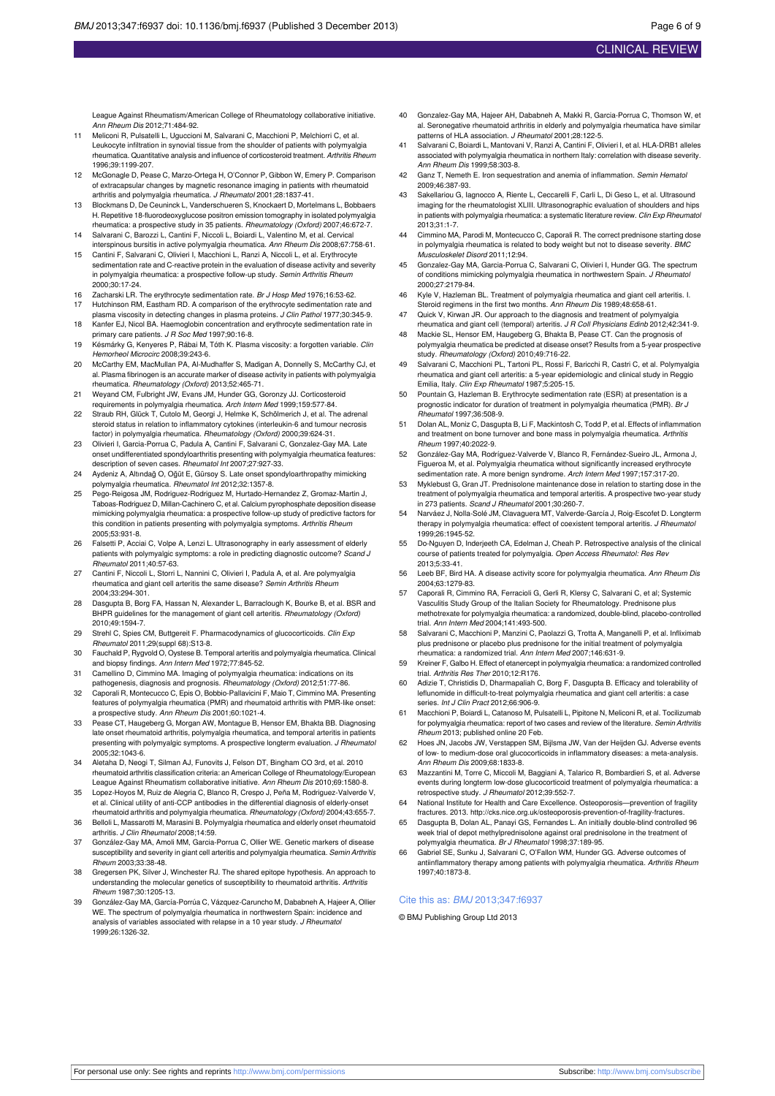League Against Rheumatism/American College of Rheumatology collaborative initiative. Ann Rheum Dis 2012;71:484-92.

- 11 Meliconi R, Pulsatelli L, Uguccioni M, Salvarani C, Macchioni P, Melchiorri C, et al. Leukocyte infiltration in synovial tissue from the shoulder of patients with polymyalgia rheumatica. Quantitative analysis and influence of corticosteroid treatment. Arthritis Rheum 1996;39:1199-207.
- 12 McGonagle D, Pease C, Marzo-Ortega H, O'Connor P, Gibbon W, Emery P. Comparison of extracapsular changes by magnetic resonance imaging in patients with rheumatoid arthritis and polymyalgia rheumatica. J Rheumatol 2001;28:1837-41.
- 13 Blockmans D, De Ceuninck L, Vanderschueren S, Knockaert D, Mortelmans L, Bobbaers H. Repetitive 18-fluorodeoxyglucose positron emission tomography in isolated polymyalgia rheumatica: a prospective study in 35 patients. Rheumatology (Oxford) 2007;46:672-7. 14 Salvarani C, Barozzi L, Cantini F, Niccoli L, Boiardi L, Valentino M, et al. Cervical
- interspinous bursitis in active polymyalgia rheumatica. Ann Rheum Dis 2008;67:758-61.
- 15 Cantini F, Salvarani C, Olivieri I, Macchioni L, Ranzi A, Niccoli L, et al. Erythrocyte sedimentation rate and C-reactive protein in the evaluation of disease activity and severity in polymyalgia rheumatica: a prospective follow-up study. Semin Arthritis Rheum 2000;30:17-24.
- 16 Zacharski LR. The erythrocyte sedimentation rate. Br J Hosp Med 1976;16:53-62.<br>17 Hutchinson RM. Eastham RD. A comparison of the erythrocyte sedimentation rate Hutchinson RM, Eastham RD. A comparison of the erythrocyte sedimentation rate and
- plasma viscosity in detecting changes in plasma proteins. J Clin Pathol 1977;30:345-9. 18 Kanfer EJ, Nicol BA. Haemoglobin concentration and erythrocyte sedimentation rate in primary care patients. J R Soc Med 1997;90:16-8.
- 19 Késmárky G, Kenyeres P, Rábai M, Tóth K. Plasma viscosity: a forgotten variable. Clin Hemorheol Microcirc 2008;39:243-6.
- 20 McCarthy EM, MacMullan PA, Al-Mudhaffer S, Madigan A, Donnelly S, McCarthy CJ, et al. Plasma fibrinogen is an accurate marker of disease activity in patients with polymyalgia rheumatica. Rheumatology (Oxford) 2013;52:465-71.
- 21 Weyand CM, Fulbright JW, Evans JM, Hunder GG, Goronzy JJ. Corticosteroid requirements in polymyalgia rheumatica. Arch Intern Med 1999;159:577-84.
- 22 Straub RH, Glück T, Cutolo M, Georgi J, Helmke K, Schölmerich J, et al. The adrenal steroid status in relation to inflammatory cytokines (interleukin-6 and tumour necrosis factor) in polymyalgia rheumatica. Rheumatology (Oxford) 2000;39:624-31.
- 23 Olivieri I, Garcia-Porrua C, Padula A, Cantini F, Salvarani C, Gonzalez-Gay MA. Late onset undifferentiated spondyloarthritis presenting with polymyalgia rheumatica features: description of seven cases. Rheumatol Int 2007;27:927-33.
- 24 Aydeniz A, Altındağ O, Oğüt E, Gürsoy S. Late onset spondyloarthropathy mimicking polymyalgia rheumatica. Rheumatol Int 2012;32:1357-8.
- 25 Pego-Reigosa JM, Rodriguez-Rodriguez M, Hurtado-Hernandez Z, Gromaz-Martin J, Taboas-Rodriguez D, Millan-Cachinero C, et al. Calcium pyrophosphate deposition disease mimicking polymyalgia rheumatica: a prospective follow-up study of predictive factors for<br>this condition in patients presenting with polymyalgia symptoms. *Arthritis Rheum* 2005;53:931-8.
- 26 Falsetti P, Acciai C, Volpe A, Lenzi L. Ultrasonography in early assessment of elderly patients with polymyalgic symptoms: a role in predicting diagnostic outcome? Scand J Rheumatol 2011;40:57-63.
- 27 Cantini F, Niccoli L, Storri L, Nannini C, Olivieri I, Padula A, et al. Are polymyalgia rheumatica and giant cell arteritis the same disease? Semin Arthritis Rheumatica 2004;33:294-301.
- 28 Dasgupta B, Borg FA, Hassan N, Alexander L, Barraclough K, Bourke B, et al. BSR and BHPR guidelines for the management of giant cell arteritis. Rheumatology (Oxford) 2010;49:1594-7.
- 29 Strehl C, Spies CM, Buttgereit F. Pharmacodynamics of glucocorticoids. Clin Exp Rheumatol 2011;29(suppl 68):S13-8.
- 30 Fauchald P, Rygvold O, Oystese B. Temporal arteritis and polymyalgia rheumatica. Clinical and biopsy findings. Ann Intern Med 1972;77:845-52.
- 31 Camellino D, Cimmino MA. Imaging of polymyalgia rheumatica: indications on its pathogenesis, diagnosis and prognosis. Rheumatology (Oxford) 2012;51:77-86.
- 32 Caporali R, Montecucco C, Epis O, Bobbio-Pallavicini F, Maio T, Cimmino MA. Presenting features of polymyalgia rheumatica (PMR) and rheumatoid arthritis with PMR-like onset: a prospective study. Ann Rheum Dis 2001;60:1021-4.
- 33 Pease CT, Haugeberg G, Morgan AW, Montague B, Hensor EM, Bhakta BB. Diagnosing late onset rheumatoid arthritis, polymyalgia rheumatica, and temporal arteritis in patients presenting with polymyalgic symptoms. A prospective longterm evaluation. J Rheumatol 2005;32:1043-6.
- 34 Aletaha D, Neogi T, Silman AJ, Funovits J, Felson DT, Bingham CO 3rd, et al. 2010 rheumatoid arthritis classification criteria: an American College of Rheumatology/European League Against Rheumatism collaborative initiative. Ann Rheum Dis 2010;69:1580-8.
- Lopez-Hoyos M, Ruiz de Alegria C, Blanco R, Crespo J, Peña M, Rodriguez-Valverde V, et al. Clinical utility of anti-CCP antibodies in the differential diagnosis of elderly-onset rheumatoid arthritis and polymyalgia rheumatica. *Rheumatology (Oxford)* 2004;43:655-7.<br>36 Belloli L, Massarotti M, Marasini B. Polymyalgia rheumatica and elderly onset rheumatoid
- arthritis. J Clin Rheumatol 2008;14:59.
- 37 González-Gay MA, Amoli MM, Garcia-Porrua C, Ollier WE. Genetic markers of disease susceptibility and severity in giant cell arteritis and polymyalgia rheumatica. Semin Arthritis Rheum 2003;33:38-48.
- 38 Gregersen PK, Silver J, Winchester RJ. The shared epitope hypothesis. An approach to understanding the molecular genetics of susceptibility to rheumatoid arthritis. Arthritis Rheum 1987;30:1205-13.
- 39 González-Gay MA, García-Porrúa C, Vázquez-Caruncho M, Dababneh A, Hajeer A, Ollier WE. The spectrum of polymyalgia rheumatica in northwestern Spain: incidence and analysis of variables associated with relapse in a 10 year study. J Rheumatol 1999;26:1326-32.
- 40 Gonzalez-Gay MA, Hajeer AH, Dababneh A, Makki R, Garcia-Porrua C, Thomson W, et al. Seronegative rheumatoid arthritis in elderly and polymyalgia rheumatica have similar patterns of HLA association. J Rheumatol 2001;28:122-5.
- 41 Salvarani C, Boiardi L, Mantovani V, Ranzi A, Cantini F, Olivieri I, et al. HLA-DRB1 alleles associated with polymyalgia rheumatica in northern Italy: correlation with disease severity. Ann Rheum Dis 1999;58:303-8.
- 42 Ganz T, Nemeth E, Iron sequestration and anemia of inflammation. Semin Here 2009;46:387-93.
- 43 Sakellariou G, Iagnocco A, Riente L, Ceccarelli F, Carli L, Di Geso L, et al. Ultrasound imaging for the rheumatologist XLIII. Ultrasonographic evaluation of shoulders and hips in patients with polymyalgia rheumatica: a systematic literature review. Clin Exp Rheum 2013;31:1-7.
- 44 Cimmino MA, Parodi M, Montecucco C, Caporali R. The correct prednisone starting dose in polymyalgia rheumatica is related to body weight but not to disease severity. BMC Musculoskelet Disord 2011;12:94.
- 45 Gonzalez-Gay MA, Garcia-Porrua C, Salvarani C, Olivieri I, Hunder GG. The spectrum of conditions mimicking polymyalgia rheumatica in northwestern Spain. J Rheumatol 2000;27:2179-84.
- 46 Kyle V, Hazleman BL. Treatment of polymyalgia rheumatica and giant cell arteritis. I. Steroid regimens in the first two months. Ann Rheum Dis 1989;48:658-61.
- 47 Quick V, Kirwan JR. Our approach to the diagnosis and treatment of polymyalgia rheumatica and giant cell (temporal) arteritis. J R Coll Physicians Edinb 2012;42:341-9.
- 48 Mackie SL, Hensor EM, Haugeberg G, Bhakta B, Pease CT. Can the prognosis of polymyalgia rheumatica be predicted at disease onset? Results from a 5-year prospective study. Rheumatology (Oxford) 2010;49:716-22.
- 49 Salvarani C, Macchioni PL, Tartoni PL, Rossi F, Baricchi R, Castri C, et al. Polymyalgia rheumatica and giant cell arteritis: a 5-year epidemiologic and clinical study in Reggio Emilia, Italy. Clin Exp Rheumatol 1987;5:205-15.
- Pountain G, Hazleman B. Erythrocyte sedimentation rate (ESR) at presentation is a prognostic indicator for duration of treatment in polymyalgia rheumatica (PMR). Br J Rheumatol 1997;36:508-9.
- 51 Dolan AL, Moniz C, Dasgupta B, Li F, Mackintosh C, Todd P, et al. Effects of inflammation and treatment on bone turnover and bone mass in polymyalgia rheumatica. Arthritis Rheum 1997;40:2022-9.
- 52 González-Gay MA, Rodríguez-Valverde V, Blanco R, Fernández-Sueiro JL, Armona J, Figueroa M, et al. Polymyalgia rheumatica without significantly increased erythrocyte sedimentation rate. A more benign syndrome. Arch Intern Med 1997;157:317-20.
- 53 Myklebust G, Gran JT. Prednisolone maintenance dose in relation to starting dose in the treatment of polymyalgia rheumatica and temporal arteritis. A prospective two-year study in 273 patients. Scand J Rheumatol 2001;30:260-7.
- 54 Narváez J, Nolla-Solé JM, Clavaguera MT, Valverde-García J, Roig-Escofet D. Longterm therapy in polymyalgia rheumatica: effect of coexistent temporal arteritis. J Rheumatol 1999;26:1945-52.
- 55 Do-Nguyen D, Inderjeeth CA, Edelman J, Cheah P. Retrospective analysis of the clinical course of patients treated for polymyalgia. Open Access Rheumatol: Res Rev 2013;5:33-41.
- 56 Leeb BF, Bird HA. A disease activity score for polymyalgia rheumatica. Ann Rheum Dis 2004;63:1279-83.
- 57 Caporali R, Cimmino RA, Ferracioli G, Gerli R, Klersy C, Salvarani C, et al; Systemic Vasculitis Study Group of the Italian Society for Rheumatology. Prednisone plus methotrexate for polymyalgia rheumatica: a randomized, double-blind, placebo-controlled trial. Ann Intern Med 2004;141:493-500.
- 58 Salvarani C, Macchioni P, Manzini C, Paolazzi G, Trotta A, Manganelli P, et al. Infliximab plus prednisone or placebo plus prednisone for the initial treatment of polymyalgia rheumatica: a randomized trial. Ann Intern Med 2007;146:631-9.
- 59 Kreiner F, Galbo H. Effect of etanercept in polymyalgia rheumatica: a randomized controlled trial. Arthritis Res Ther 2010;12:R176.
- 60 Adizie T, Christidis D, Dharmapaliah C, Borg F, Dasgupta B. Efficacy and tolerability of leflunomide in difficult-to-treat polymyalgia rheumatica and giant cell arteritis: a case series. Int J Clin Pract 2012;66:906-9.
- 61 Macchioni P, Boiardi L, Catanoso M, Pulsatelli L, Pipitone N, Meliconi R, et al. Tocilizumab for polymyalgia rheumatica: report of two cases and review of the literature. Semin Arthritis Rheum 2013; published online 20 Feb.
- 62 Hoes JN, Jacobs JW, Verstappen SM, Bijlsma JW, Van der Heijden GJ. Adverse events of low- to medium-dose oral glucocorticoids in inflammatory diseases: a meta-analysis. Ann Rheum Dis 2009;68:1833-8.
- 63 Mazzantini M, Torre C, Miccoli M, Baggiani A, Talarico R, Bombardieri S, et al. Adverse events during longterm low-dose glucocorticoid treatment of polymyalgia rheumatica: a retrospective study. J Rheumatol 2012;39:552-7.
- 64 National Institute for Health and Care Excellence. Osteoporosis—prevention of fragility fractures. 2013. [http://cks.nice.org.uk/osteoporosis-prevention-of-fragility-fractures.](http://cks.nice.org.uk/osteoporosis-prevention-of-fragility-fractures)
- 65 Dasgupta B, Dolan AL, Panayi GS, Fernandes L. An initially double-blind controlled 96 week trial of depot methylprednisolone against oral prednisolone in the treatment of polymyalgia rheumatica. Br J Rheumatol 1998;37:189-95.
- 66 Gabriel SE, Sunku J, Salvarani C, O'Fallon WM, Hunder GG. Adverse outcomes of antiinflammatory therapy among patients with polymyalgia rheumatica. Arthritis Rheum 1997;40:1873-8.

#### Cite this as: BMJ 2013;347:f6937

© BMJ Publishing Group Ltd 2013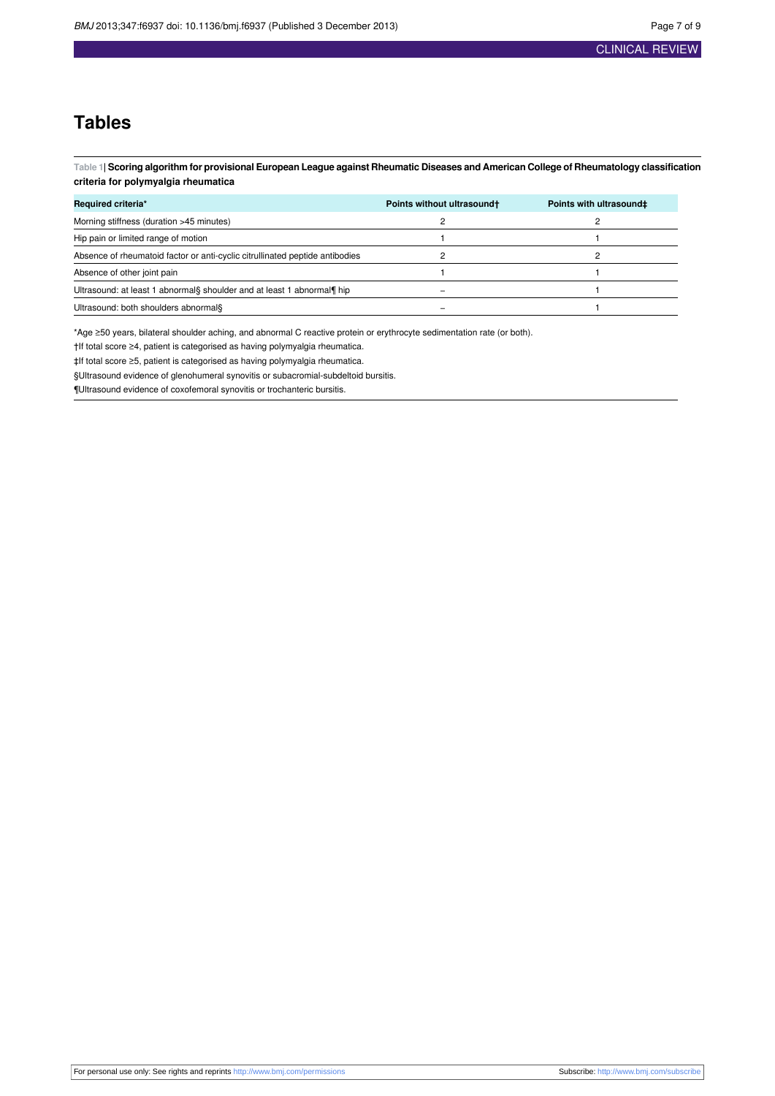### **Tables**

<span id="page-6-0"></span>Table 1| Scoring algorithm for provisional European League against Rheumatic Diseases and American College of Rheumatology classification **criteria for polymyalgia rheumatica**

| Required criteria*                                                           | Points without ultrasound+ | Points with ultrasound# |
|------------------------------------------------------------------------------|----------------------------|-------------------------|
| Morning stiffness (duration >45 minutes)                                     |                            |                         |
| Hip pain or limited range of motion                                          |                            |                         |
| Absence of rheumatoid factor or anti-cyclic citrullinated peptide antibodies |                            |                         |
| Absence of other joint pain                                                  |                            |                         |
| Ultrasound: at least 1 abnormal§ shoulder and at least 1 abnormal¶ hip       |                            |                         |
| Ultrasound: both shoulders abnormal§                                         |                            |                         |

\*Age ≥50 years, bilateral shoulder aching, and abnormal C reactive protein or erythrocyte sedimentation rate (or both).

†If total score ≥4, patient is categorised as having polymyalgia rheumatica.

‡If total score ≥5, patient is categorised as having polymyalgia rheumatica.

§Ultrasound evidence of glenohumeral synovitis or subacromial-subdeltoid bursitis.

¶Ultrasound evidence of coxofemoral synovitis or trochanteric bursitis.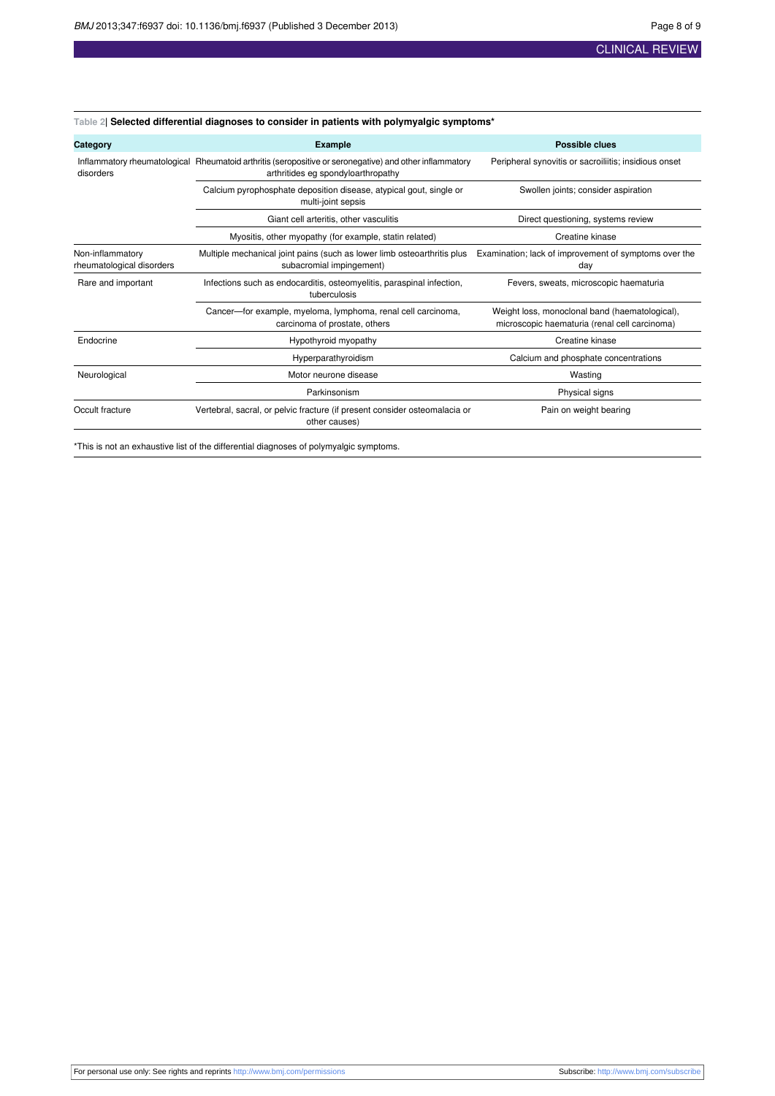### CLINICAL REVIEW

<span id="page-7-0"></span>

| Table 2 Selected differential diagnoses to consider in patients with polymyalgic symptoms* |  |
|--------------------------------------------------------------------------------------------|--|
|--------------------------------------------------------------------------------------------|--|

| Category                                      | <b>Example</b>                                                                                                                                | Possible clues                                                                                  |
|-----------------------------------------------|-----------------------------------------------------------------------------------------------------------------------------------------------|-------------------------------------------------------------------------------------------------|
| disorders                                     | Inflammatory rheumatological Rheumatoid arthritis (seropositive or seronegative) and other inflammatory<br>arthritides eg spondyloarthropathy | Peripheral synovitis or sacroiliitis; insidious onset                                           |
|                                               | Calcium pyrophosphate deposition disease, atypical gout, single or<br>multi-joint sepsis                                                      | Swollen joints; consider aspiration                                                             |
|                                               | Giant cell arteritis, other vasculitis                                                                                                        | Direct questioning, systems review                                                              |
|                                               | Myositis, other myopathy (for example, statin related)                                                                                        | Creatine kinase                                                                                 |
| Non-inflammatory<br>rheumatological disorders | Multiple mechanical joint pains (such as lower limb osteoarthritis plus<br>subacromial impingement)                                           | Examination; lack of improvement of symptoms over the<br>day                                    |
| Rare and important                            | Infections such as endocarditis, osteomyelitis, paraspinal infection,<br>tuberculosis                                                         | Fevers, sweats, microscopic haematuria                                                          |
|                                               | Cancer-for example, myeloma, lymphoma, renal cell carcinoma,<br>carcinoma of prostate, others                                                 | Weight loss, monoclonal band (haematological),<br>microscopic haematuria (renal cell carcinoma) |
| Endocrine                                     | Hypothyroid myopathy                                                                                                                          | Creatine kinase                                                                                 |
|                                               | Hyperparathyroidism                                                                                                                           | Calcium and phosphate concentrations                                                            |
| Neurological                                  | Motor neurone disease                                                                                                                         | Wasting                                                                                         |
|                                               | Parkinsonism                                                                                                                                  | Physical signs                                                                                  |
| Occult fracture                               | Vertebral, sacral, or pelvic fracture (if present consider osteomalacia or<br>other causes)                                                   | Pain on weight bearing                                                                          |
|                                               |                                                                                                                                               |                                                                                                 |

\*This is not an exhaustive list of the differential diagnoses of polymyalgic symptoms.